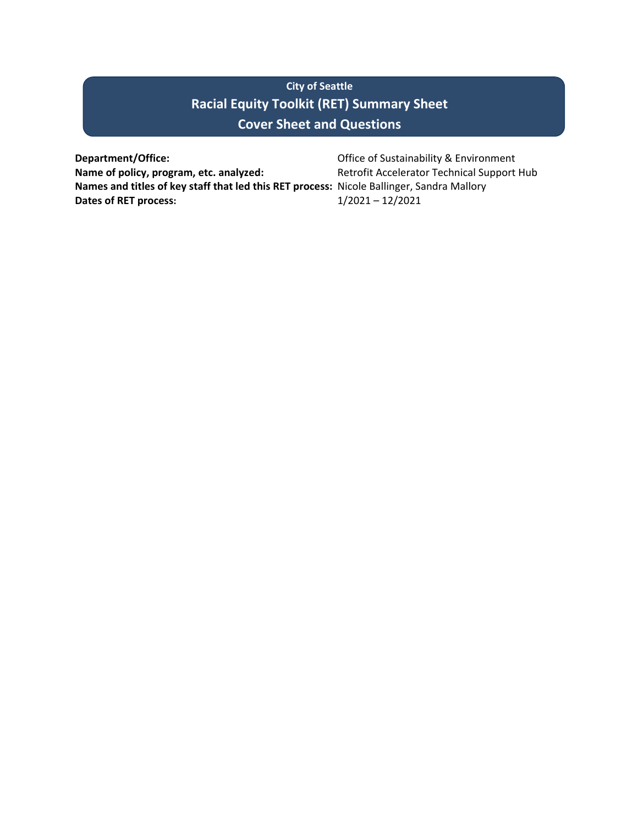# **City of Seattle Racial Equity Toolkit (RET) Summary Sheet Cover Sheet and Questions**

**Department/Office:** Department/Office: **Office of Sustainability & Environment** Name of policy, program, etc. analyzed: Retrofit Accelerator Technical Support Hub **Names and titles of key staff that led this RET process:** Nicole Ballinger, Sandra Mallory **Dates of RET process:** 1/2021 – 12/2021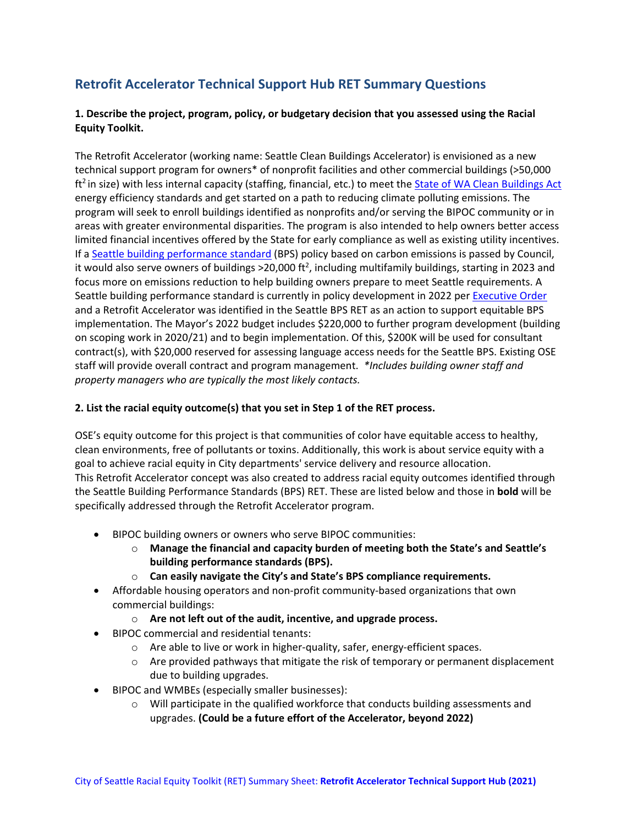# **Retrofit Accelerator Technical Support Hub RET Summary Questions**

## **1. Describe the project, program, policy, or budgetary decision that you assessed using the Racial Equity Toolkit.**

The Retrofit Accelerator (working name: Seattle Clean Buildings Accelerator) is envisioned as a new technical support program for owners\* of nonprofit facilities and other commercial buildings (>50,000 ft<sup>2</sup> in size) with less internal capacity (staffing, financial, etc.) to meet the [State of WA Clean Buildings](https://www.commerce.wa.gov/growing-the-economy/energy/buildings/) Act energy efficiency standards and get started on a path to reducing climate polluting emissions. The program will seek to enroll buildings identified as nonprofits and/or serving the BIPOC community or in areas with greater environmental disparities. The program is also intended to help owners better access limited financial incentives offered by the State for early compliance as well as existing utility incentives. If a [Seattle building performance standard](https://www.seattle.gov/environment/climate-change/buildings-and-energy/building-performance-standards) (BPS) policy based on carbon emissions is passed by Council, it would also serve owners of buildings >20,000 ft<sup>2</sup>, including multifamily buildings, starting in 2023 and focus more on emissions reduction to help building owners prepare to meet Seattle requirements. A Seattle building performance standard is currently in policy development in 2022 per [Executive Order](https://durkan.seattle.gov/wp-content/uploads/sites/9/2021/11/2021-09-Climate-EO_2.pdf) and a Retrofit Accelerator was identified in the Seattle BPS RET as an action to support equitable BPS implementation. The Mayor's 2022 budget includes \$220,000 to further program development (building on scoping work in 2020/21) and to begin implementation. Of this, \$200K will be used for consultant contract(s), with \$20,000 reserved for assessing language access needs for the Seattle BPS. Existing OSE staff will provide overall contract and program management. *\*Includes building owner staff and property managers who are typically the most likely contacts.*

### **2. List the racial equity outcome(s) that you set in Step 1 of the RET process.**

OSE's equity outcome for this project is that communities of color have equitable access to healthy, clean environments, free of pollutants or toxins. Additionally, this work is about service equity with a goal to achieve racial equity in City departments' service delivery and resource allocation. This Retrofit Accelerator concept was also created to address racial equity outcomes identified through the Seattle Building Performance Standards (BPS) RET. These are listed below and those in **bold** will be specifically addressed through the Retrofit Accelerator program.

- BIPOC building owners or owners who serve BIPOC communities:
	- o **Manage the financial and capacity burden of meeting both the State's and Seattle's building performance standards (BPS).**
	- o **Can easily navigate the City's and State's BPS compliance requirements.**
- Affordable housing operators and non-profit community-based organizations that own commercial buildings:
	- o **Are not left out of the audit, incentive, and upgrade process.**
- BIPOC commercial and residential tenants:
	- o Are able to live or work in higher-quality, safer, energy-efficient spaces.
	- $\circ$  Are provided pathways that mitigate the risk of temporary or permanent displacement due to building upgrades.
- BIPOC and WMBEs (especially smaller businesses):
	- $\circ$  Will participate in the qualified workforce that conducts building assessments and upgrades. **(Could be a future effort of the Accelerator, beyond 2022)**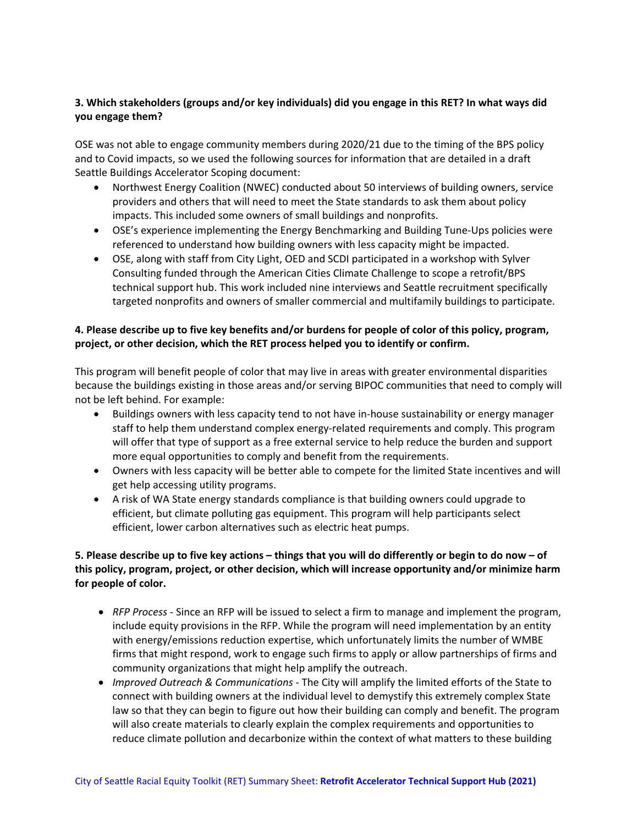## **3. Which stakeholders (groups and/or key individuals) did you engage in this RET? In what ways did you engage them?**

OSE was not able to engage community members during 2020/21 due to the timing of the BPS policy and to Covid impacts, so we used the following sources for information that are detailed in a draft Seattle Buildings Accelerator Scoping document:

- Northwest Energy Coalition (NWEC) conducted about 50 interviews of building owners, service providers and others that will need to meet the State standards to ask them about policy impacts. This included some owners of small buildings and nonprofits.
- OSE's experience implementing the Energy Benchmarking and Building Tune-Ups policies were referenced to understand how building owners with less capacity might be impacted.
- OSE, along with staff from City Light, OED and SCDI participated in a workshop with Sylver Consulting funded through the American Cities Climate Challenge to scope a retrofit/BPS technical support hub. This work included nine interviews and Seattle recruitment specifically targeted nonprofits and owners of smaller commercial and multifamily buildings to participate.

# **4. Please describe up to five key benefits and/or burdens for people of color of this policy, program, project, or other decision, which the RET process helped you to identify or confirm.**

This program will benefit people of color that may live in areas with greater environmental disparities because the buildings existing in those areas and/or serving BIPOC communities that need to comply will not be left behind. For example:

- Buildings owners with less capacity tend to not have in-house sustainability or energy manager staff to help them understand complex energy-related requirements and comply. This program will offer that type of support as a free external service to help reduce the burden and support more equal opportunities to comply and benefit from the requirements.
- Owners with less capacity will be better able to compete for the limited State incentives and will get help accessing utility programs.
- A risk of WA State energy standards compliance is that building owners could upgrade to efficient, but climate polluting gas equipment. This program will help participants select efficient, lower carbon alternatives such as electric heat pumps.

# **5. Please describe up to five key actions – things that you will do differently or begin to do now – of this policy, program, project, or other decision, which will increase opportunity and/or minimize harm for people of color.**

- *RFP Process* Since an RFP will be issued to select a firm to manage and implement the program, include equity provisions in the RFP. While the program will need implementation by an entity with energy/emissions reduction expertise, which unfortunately limits the number of WMBE firms that might respond, work to engage such firms to apply or allow partnerships of firms and community organizations that might help amplify the outreach.
- *Improved Outreach & Communications* The City will amplify the limited efforts of the State to connect with building owners at the individual level to demystify this extremely complex State law so that they can begin to figure out how their building can comply and benefit. The program will also create materials to clearly explain the complex requirements and opportunities to reduce climate pollution and decarbonize within the context of what matters to these building